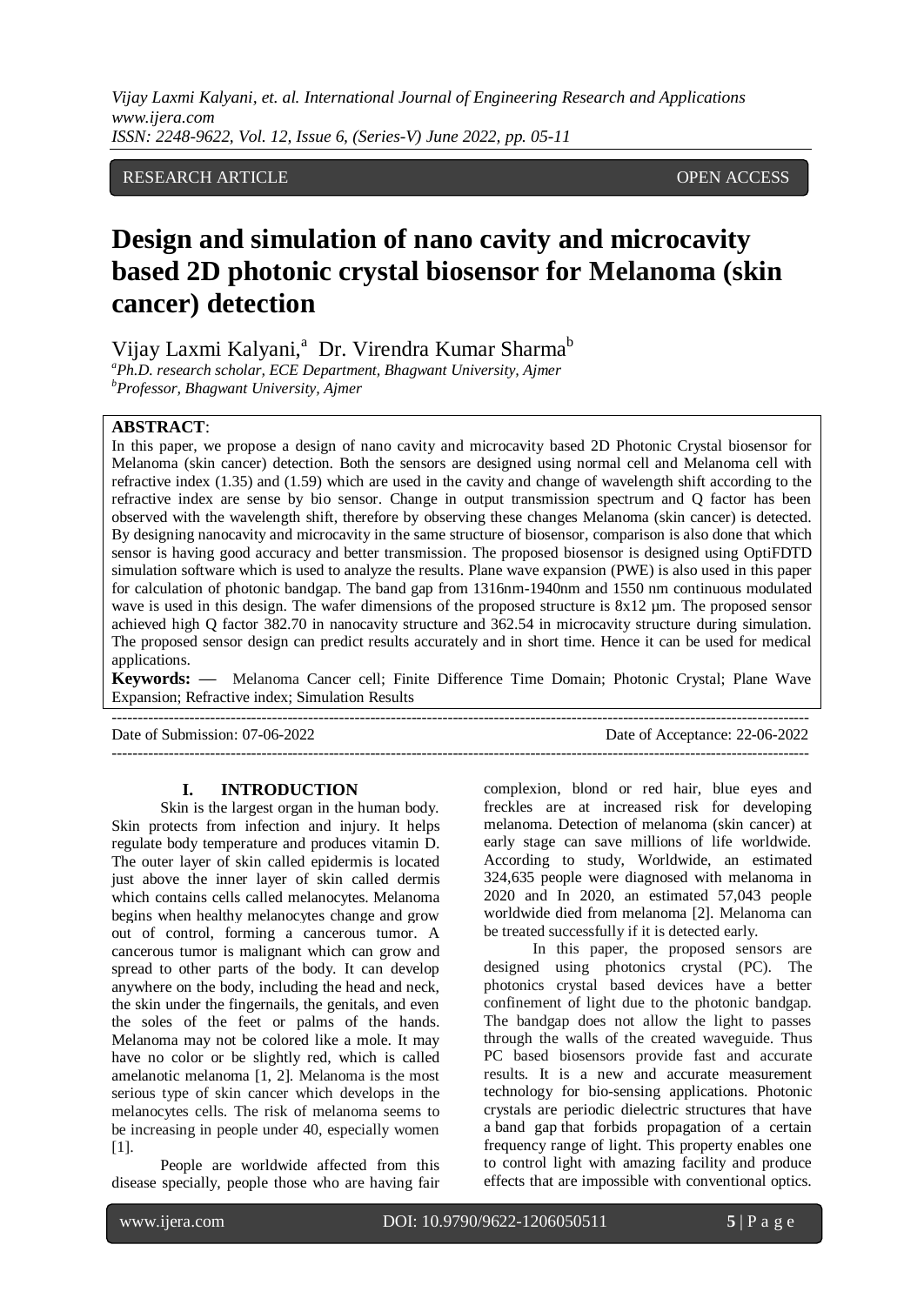RESEARCH ARTICLE **CONTRACT OPEN ACCESS** 

# **Design and simulation of nano cavity and microcavity based 2D photonic crystal biosensor for Melanoma (skin cancer) detection**

Vijay Laxmi Kalyani,<sup>a</sup> Dr. Virendra Kumar Sharma<sup>b</sup>

*<sup>a</sup>Ph.D. research scholar, ECE Department, Bhagwant University, Ajmer <sup>b</sup>Professor, Bhagwant University, Ajmer*

## **ABSTRACT**:

In this paper, we propose a design of nano cavity and microcavity based 2D Photonic Crystal biosensor for Melanoma (skin cancer) detection. Both the sensors are designed using normal cell and Melanoma cell with refractive index (1.35) and (1.59) which are used in the cavity and change of wavelength shift according to the refractive index are sense by bio sensor. Change in output transmission spectrum and Q factor has been observed with the wavelength shift, therefore by observing these changes Melanoma (skin cancer) is detected. By designing nanocavity and microcavity in the same structure of biosensor, comparison is also done that which sensor is having good accuracy and better transmission. The proposed biosensor is designed using OptiFDTD simulation software which is used to analyze the results. Plane wave expansion (PWE) is also used in this paper for calculation of photonic bandgap. The band gap from 1316nm-1940nm and 1550 nm continuous modulated wave is used in this design. The wafer dimensions of the proposed structure is  $8x12 \mu m$ . The proposed sensor achieved high Q factor 382.70 in nanocavity structure and 362.54 in microcavity structure during simulation. The proposed sensor design can predict results accurately and in short time. Hence it can be used for medical applications.

**Keywords: —** Melanoma Cancer cell; Finite Difference Time Domain; Photonic Crystal; Plane Wave Expansion; Refractive index; Simulation Results

---------------------------------------------------------------------------------------------------------------------------------------

---------------------------------------------------------------------------------------------------------------------------------------

Date of Submission: 07-06-2022 Date of Acceptance: 22-06-2022

#### **I. INTRODUCTION**

Skin is the largest organ in the human body. Skin protects from infection and injury. It helps regulate body temperature and produces vitamin D. The outer layer of skin called epidermis is located just above the inner layer of skin called dermis which contains cells called melanocytes. Melanoma begins when healthy melanocytes change and grow out of control, forming a cancerous tumor. A cancerous tumor is malignant which can grow and spread to other parts of the body. It can develop anywhere on the body, including the head and neck, the skin under the fingernails, the genitals, and even the soles of the feet or palms of the hands. Melanoma may not be colored like a mole. It may have no color or be slightly red, which is called amelanotic melanoma [1, 2]. Melanoma is the most serious type of skin cancer which develops in the melanocytes cells. The risk of melanoma seems to be increasing in people under 40, especially women [1].

People are worldwide affected from this disease specially, people those who are having fair complexion, blond or red hair, blue eyes and freckles are at increased risk for developing melanoma. Detection of melanoma (skin cancer) at early stage can save millions of life worldwide. According to study, Worldwide, an estimated 324,635 people were diagnosed with melanoma in 2020 and In 2020, an estimated 57,043 people worldwide died from melanoma [2]. Melanoma can be treated successfully if it is detected early.

In this paper, the proposed sensors are designed using photonics crystal (PC). The photonics crystal based devices have a better confinement of light due to the photonic bandgap. The bandgap does not allow the light to passes through the walls of the created waveguide. Thus PC based biosensors provide fast and accurate results. It is a new and accurate measurement technology for bio-sensing applications. Photonic crystals are periodic dielectric structures that have a band gap that forbids propagation of a certain frequency range of light. This property enables one to control light with amazing facility and produce effects that are impossible with conventional optics.

l

www.ijera.com DOI: 10.9790/9622-1206050511 **5** | P a g e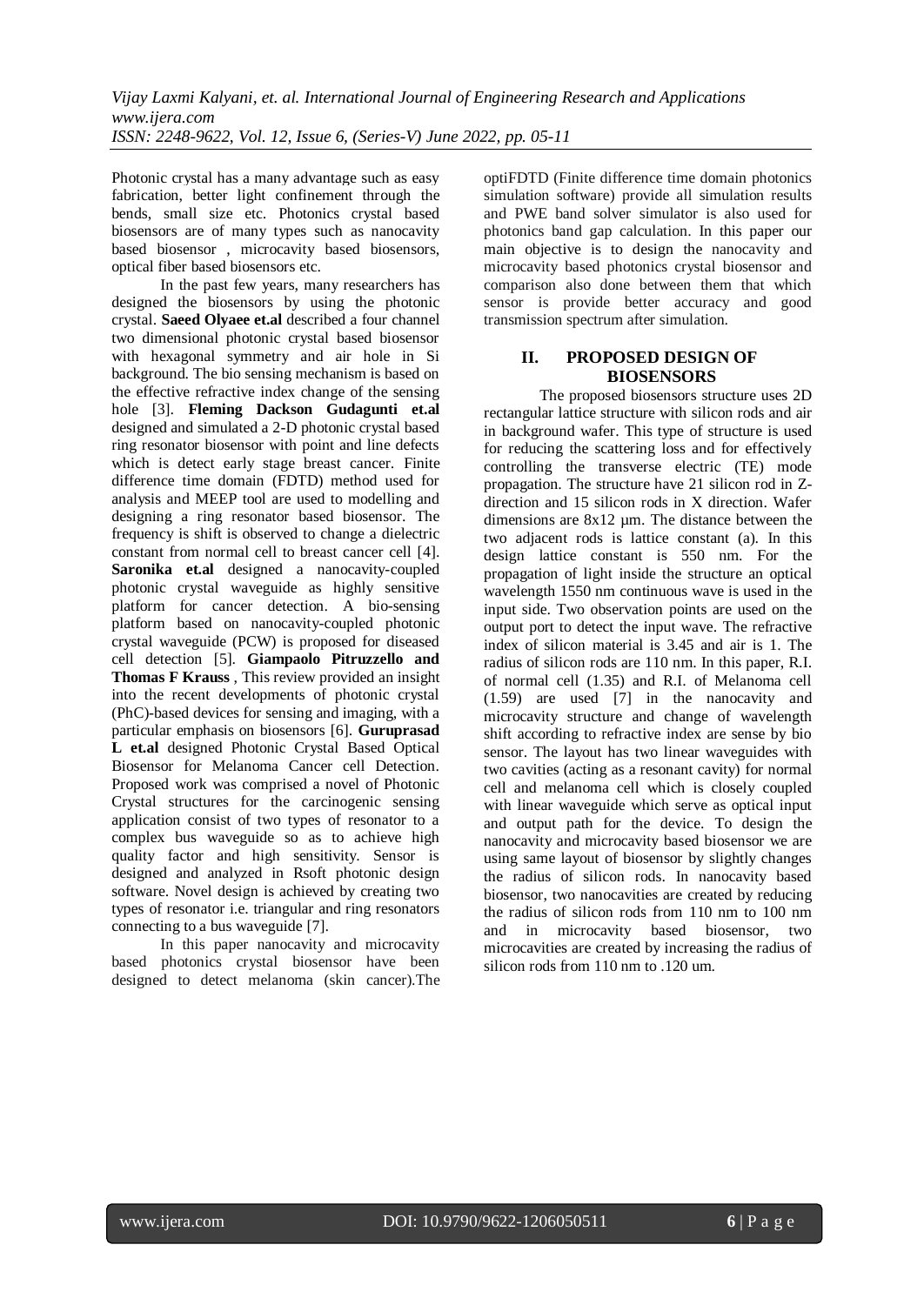Photonic crystal has a many advantage such as easy fabrication, better light confinement through the bends, small size etc. Photonics crystal based biosensors are of many types such as nanocavity based biosensor , microcavity based biosensors, optical fiber based biosensors etc.

In the past few years, many researchers has designed the biosensors by using the photonic crystal. **Saeed Olyaee et.al** described a four channel two dimensional photonic crystal based biosensor with hexagonal symmetry and air hole in Si background. The bio sensing mechanism is based on the effective refractive index change of the sensing hole [3]. **Fleming Dackson Gudagunti et.al** designed and simulated a 2-D photonic crystal based ring resonator biosensor with point and line defects which is detect early stage breast cancer. Finite difference time domain (FDTD) method used for analysis and MEEP tool are used to modelling and designing a ring resonator based biosensor. The frequency is shift is observed to change a dielectric constant from normal cell to breast cancer cell [4]. **Saronika et.al** designed a nanocavity-coupled photonic crystal waveguide as highly sensitive platform for cancer detection. A bio-sensing platform based on nanocavity-coupled photonic crystal waveguide (PCW) is proposed for diseased cell detection [5]. **Giampaolo Pitruzzello and Thomas F Krauss** , This review provided an insight into the recent developments of photonic crystal (PhC)-based devices for sensing and imaging, with a particular emphasis on biosensors [6]. **Guruprasad L et.al** designed Photonic Crystal Based Optical Biosensor for Melanoma Cancer cell Detection. Proposed work was comprised a novel of Photonic Crystal structures for the carcinogenic sensing application consist of two types of resonator to a complex bus waveguide so as to achieve high quality factor and high sensitivity. Sensor is designed and analyzed in Rsoft photonic design software. Novel design is achieved by creating two types of resonator i.e. triangular and ring resonators connecting to a bus waveguide [7].

In this paper nanocavity and microcavity based photonics crystal biosensor have been designed to detect melanoma (skin cancer).The optiFDTD (Finite difference time domain photonics simulation software) provide all simulation results and PWE band solver simulator is also used for photonics band gap calculation. In this paper our main objective is to design the nanocavity and microcavity based photonics crystal biosensor and comparison also done between them that which sensor is provide better accuracy and good transmission spectrum after simulation.

# **II. PROPOSED DESIGN OF BIOSENSORS**

The proposed biosensors structure uses 2D rectangular lattice structure with silicon rods and air in background wafer. This type of structure is used for reducing the scattering loss and for effectively controlling the transverse electric (TE) mode propagation. The structure have 21 silicon rod in Zdirection and 15 silicon rods in X direction. Wafer dimensions are 8x12 µm. The distance between the two adjacent rods is lattice constant (a). In this design lattice constant is 550 nm. For the propagation of light inside the structure an optical wavelength 1550 nm continuous wave is used in the input side. Two observation points are used on the output port to detect the input wave. The refractive index of silicon material is 3.45 and air is 1. The radius of silicon rods are 110 nm. In this paper, R.I. of normal cell (1.35) and R.I. of Melanoma cell (1.59) are used [7] in the nanocavity and microcavity structure and change of wavelength shift according to refractive index are sense by bio sensor. The layout has two linear waveguides with two cavities (acting as a resonant cavity) for normal cell and melanoma cell which is closely coupled with linear waveguide which serve as optical input and output path for the device. To design the nanocavity and microcavity based biosensor we are using same layout of biosensor by slightly changes the radius of silicon rods. In nanocavity based biosensor, two nanocavities are created by reducing the radius of silicon rods from 110 nm to 100 nm and in microcavity based biosensor, two microcavities are created by increasing the radius of silicon rods from 110 nm to .120 um.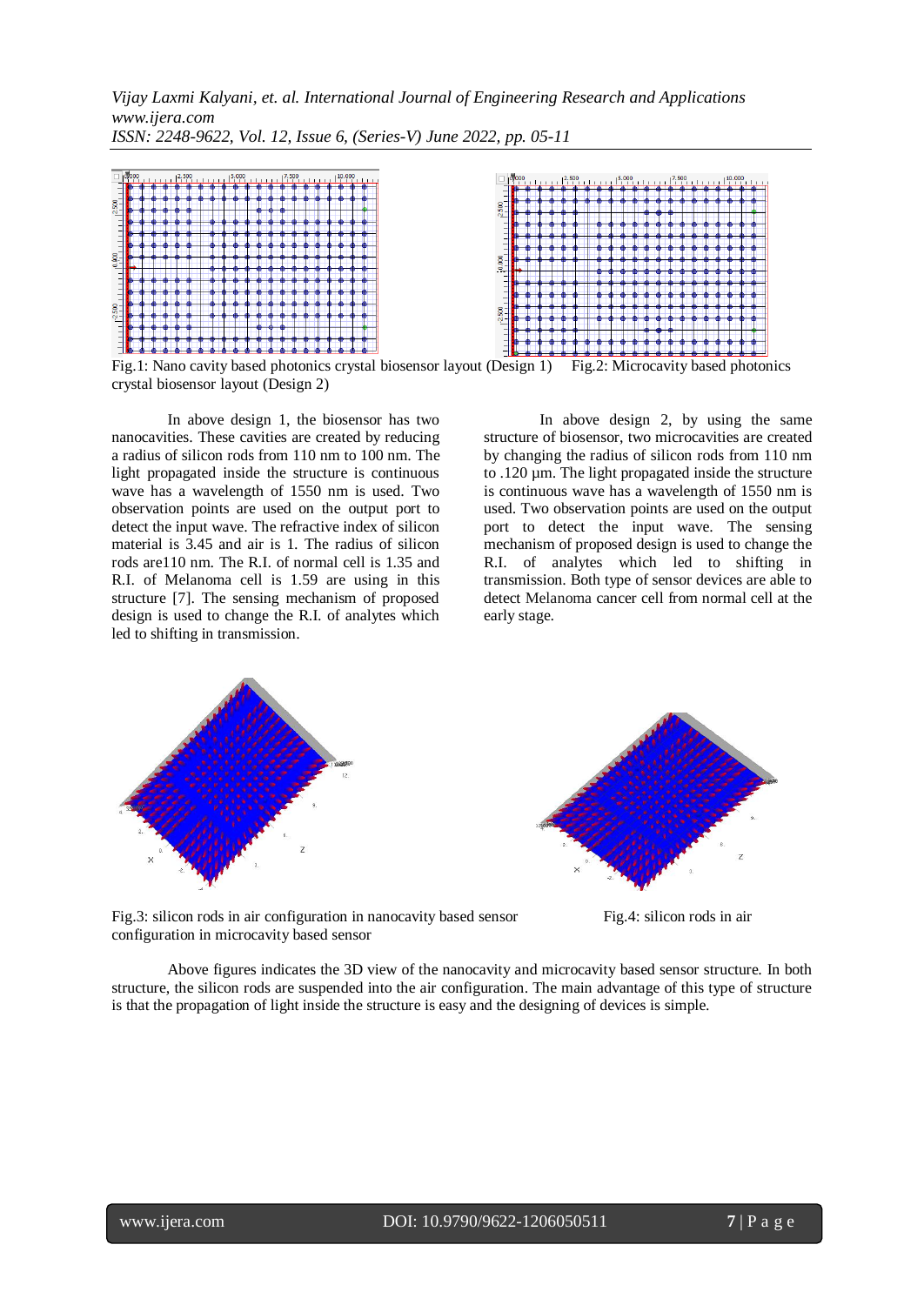

Fig.1: Nano cavity based photonics crystal biosensor layout (Design 1) Fig.2: Microcavity based photonics crystal biosensor layout (Design 2)

In above design 1, the biosensor has two nanocavities. These cavities are created by reducing a radius of silicon rods from 110 nm to 100 nm. The light propagated inside the structure is continuous wave has a wavelength of 1550 nm is used. Two observation points are used on the output port to detect the input wave. The refractive index of silicon material is 3.45 and air is 1. The radius of silicon rods are110 nm. The R.I. of normal cell is 1.35 and R.I. of Melanoma cell is 1.59 are using in this structure [7]. The sensing mechanism of proposed design is used to change the R.I. of analytes which led to shifting in transmission.

In above design 2, by using the same structure of biosensor, two microcavities are created by changing the radius of silicon rods from 110 nm to .120 µm. The light propagated inside the structure is continuous wave has a wavelength of 1550 nm is used. Two observation points are used on the output port to detect the input wave. The sensing mechanism of proposed design is used to change the R.I. of analytes which led to shifting in transmission. Both type of sensor devices are able to detect Melanoma cancer cell from normal cell at the early stage.





Fig.3: silicon rods in air configuration in nanocavity based sensor Fig.4: silicon rods in air configuration in microcavity based sensor



Above figures indicates the 3D view of the nanocavity and microcavity based sensor structure. In both structure, the silicon rods are suspended into the air configuration. The main advantage of this type of structure is that the propagation of light inside the structure is easy and the designing of devices is simple.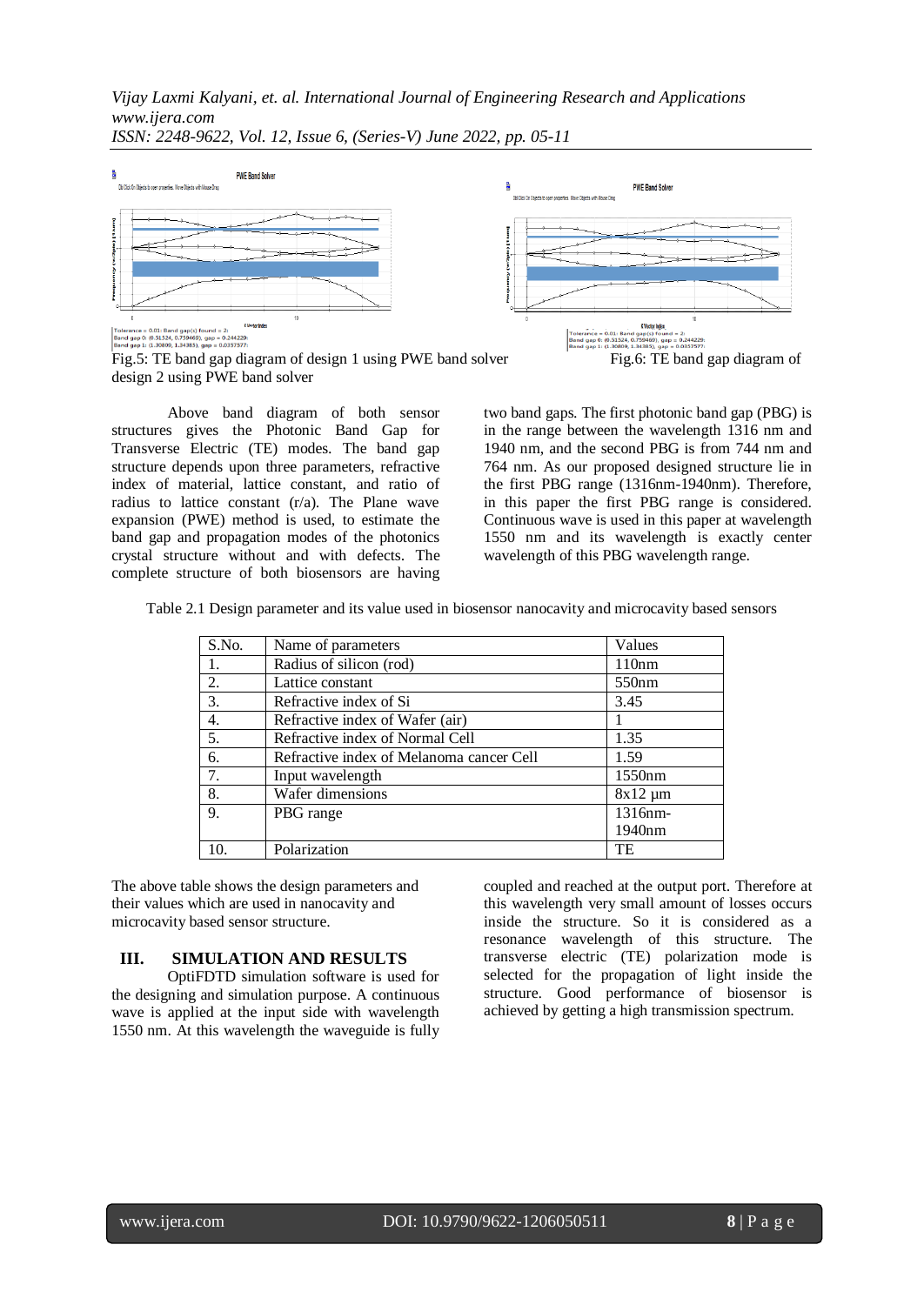

Fig.5: TE band gap diagram of design 1 using PWE band solver Fig.6: TE band gap diagram of design 2 using PWE band solver

Above band diagram of both sensor structures gives the Photonic Band Gap for Transverse Electric (TE) modes. The band gap structure depends upon three parameters, refractive index of material, lattice constant, and ratio of radius to lattice constant (r/a). The Plane wave expansion (PWE) method is used, to estimate the band gap and propagation modes of the photonics crystal structure without and with defects. The complete structure of both biosensors are having two band gaps. The first photonic band gap (PBG) is in the range between the wavelength 1316 nm and 1940 nm, and the second PBG is from 744 nm and 764 nm. As our proposed designed structure lie in the first PBG range (1316nm-1940nm). Therefore, in this paper the first PBG range is considered. Continuous wave is used in this paper at wavelength 1550 nm and its wavelength is exactly center wavelength of this PBG wavelength range.

| Table 2.1 Design parameter and its value used in biosensor nanocavity and microcavity based sensors |  |  |  |
|-----------------------------------------------------------------------------------------------------|--|--|--|
|                                                                                                     |  |  |  |

| S.No. | Name of parameters                       | Values       |
|-------|------------------------------------------|--------------|
| 1.    | Radius of silicon (rod)                  | 110nm        |
| 2.    | Lattice constant                         | 550nm        |
| 3.    | Refractive index of Si                   | 3.45         |
| 4.    | Refractive index of Wafer (air)          |              |
| 5.    | Refractive index of Normal Cell          | 1.35         |
| 6.    | Refractive index of Melanoma cancer Cell | 1.59         |
| 7.    | Input wavelength                         | 1550nm       |
| 8.    | Wafer dimensions                         | $8x12 \mu m$ |
| 9.    | PBG range                                | 1316nm-      |
|       |                                          | 1940nm       |
| 10.   | Polarization                             | TE           |

The above table shows the design parameters and their values which are used in nanocavity and microcavity based sensor structure.

# **III. SIMULATION AND RESULTS**

OptiFDTD simulation software is used for the designing and simulation purpose. A continuous wave is applied at the input side with wavelength 1550 nm. At this wavelength the waveguide is fully coupled and reached at the output port. Therefore at this wavelength very small amount of losses occurs inside the structure. So it is considered as a resonance wavelength of this structure. The transverse electric (TE) polarization mode is selected for the propagation of light inside the structure. Good performance of biosensor is achieved by getting a high transmission spectrum.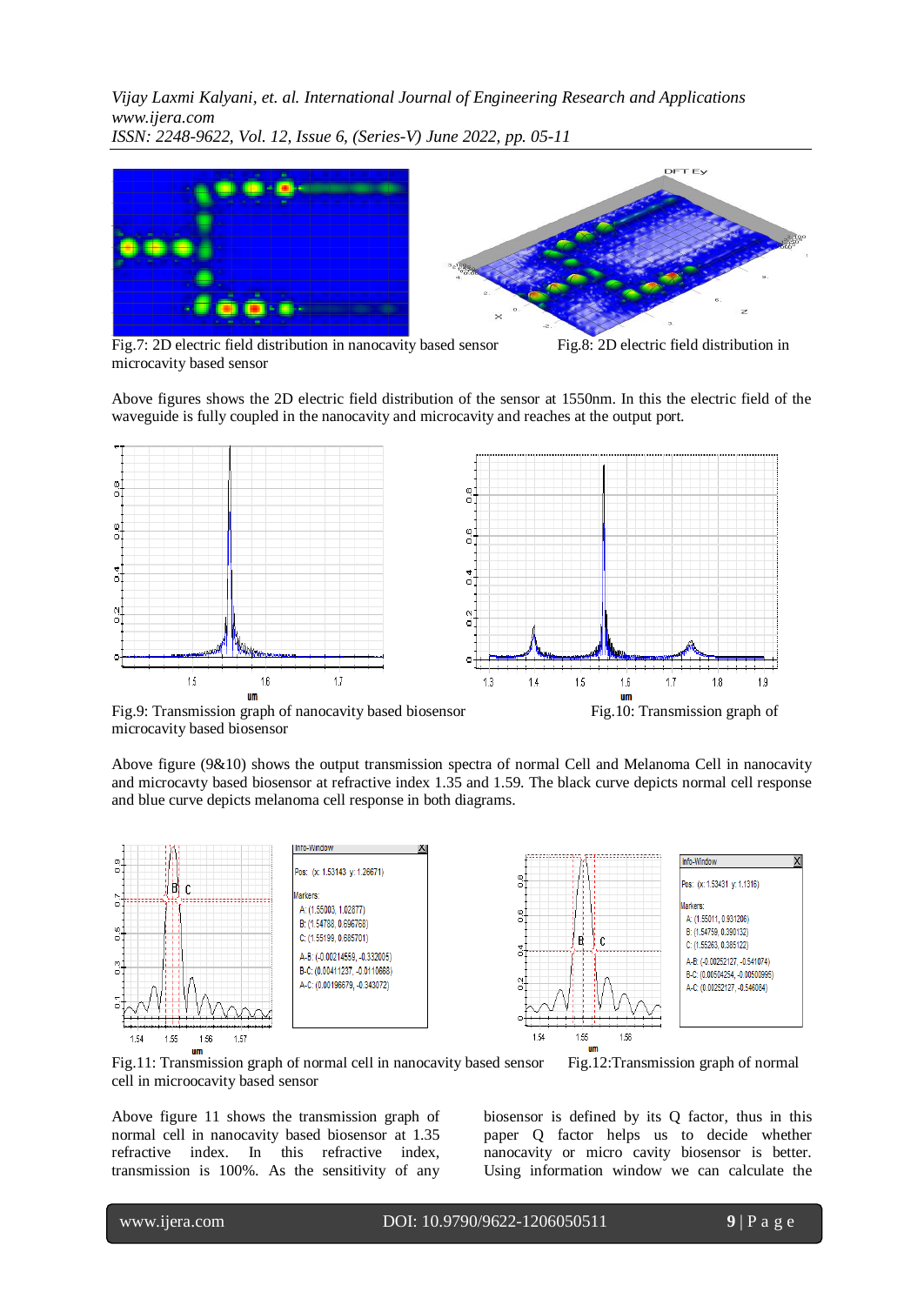

Fig.7: 2D electric field distribution in nanocavity based sensor Fig.8: 2D electric field distribution in microcavity based sensor

Above figures shows the 2D electric field distribution of the sensor at 1550nm. In this the electric field of the waveguide is fully coupled in the nanocavity and microcavity and reaches at the output port.



Fig.9: Transmission graph of nanocavity based biosensor Fig.10: Transmission graph of microcavity based biosensor

Above figure (9&10) shows the output transmission spectra of normal Cell and Melanoma Cell in nanocavity and microcavty based biosensor at refractive index 1.35 and 1.59. The black curve depicts normal cell response and blue curve depicts melanoma cell response in both diagrams.



Fig.11: Transmission graph of normal cell in nanocavity based sensor Fig.12:Transmission graph of normal cell in microocavity based sensor

biosensor is defined by its Q factor, thus in this paper Q factor helps us to decide whether nanocavity or micro cavity biosensor is better.

Using information window we can calculate the

Above figure 11 shows the transmission graph of normal cell in nanocavity based biosensor at 1.35 refractive index. In this refractive index, transmission is 100%. As the sensitivity of any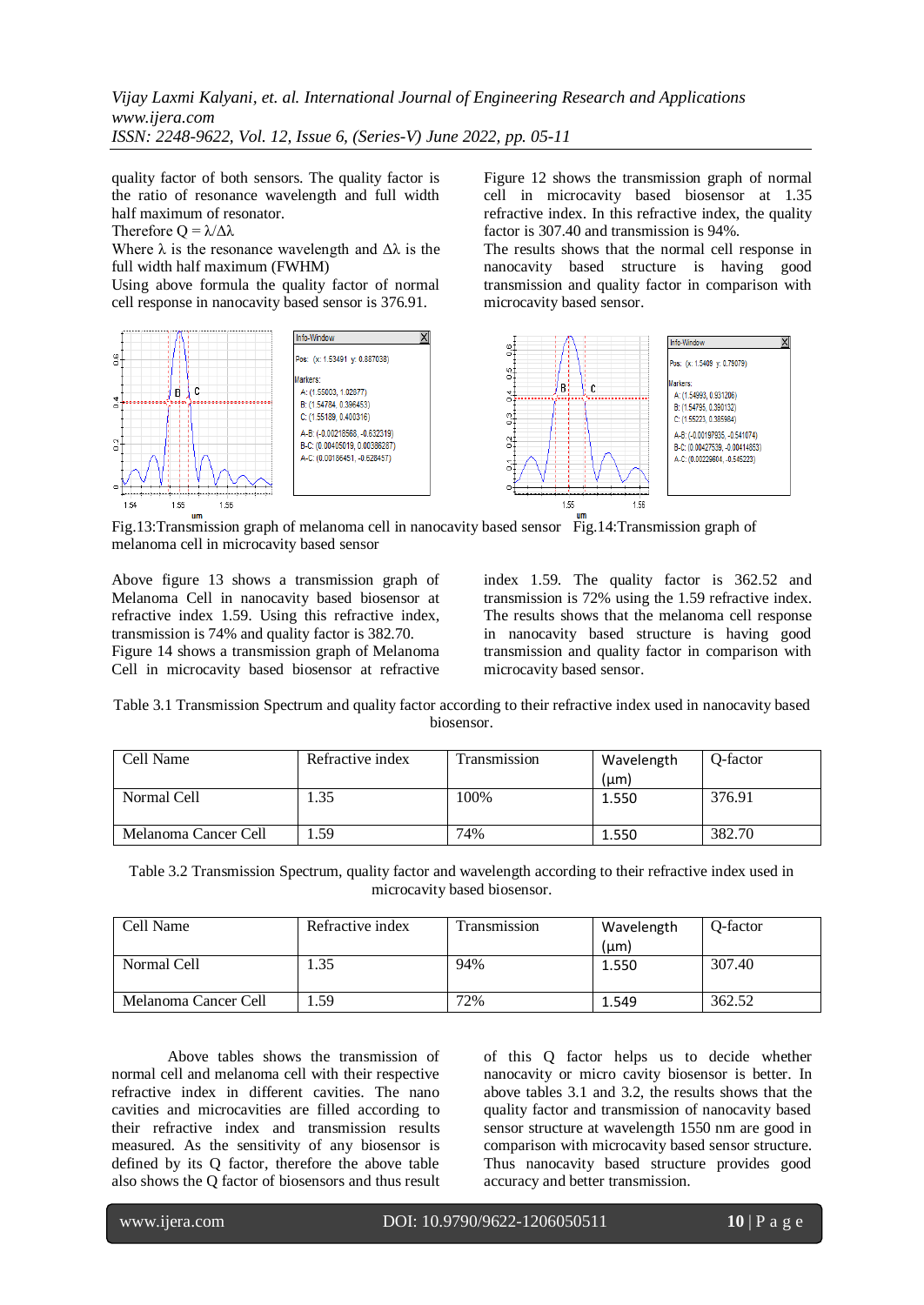quality factor of both sensors. The quality factor is the ratio of resonance wavelength and full width half maximum of resonator.

Therefore  $Q = \lambda / \Delta \lambda$ 

 $\mathbf{C}$ Ε.

1.55

 $\mathbf{m}$ 

1.56

 $\overline{a}$ 

1.54

Where  $\lambda$  is the resonance wavelength and  $\Delta\lambda$  is the full width half maximum (FWHM)

Using above formula the quality factor of normal cell response in nanocavity based sensor is 376.91.

Info-Window

Markers

Pos: (x: 1.53491 y: 0.887038)

A: (1.55003, 1.02877)

B: (1.54784, 0.396453)

C: (1.55189, 0.400316)

A-B: (-0.00218568, -0.632319)

B-C: (0.00405019, 0.00386287)

A-C: (0.00186451, -0.628457)

Figure 12 shows the transmission graph of normal cell in microcavity based biosensor at 1.35 refractive index. In this refractive index, the quality factor is 307.40 and transmission is 94%.

The results shows that the normal cell response in nanocavity based structure is having good transmission and quality factor in comparison with microcavity based sensor.



Fig.13:Transmission graph of melanoma cell in nanocavity based sensor Fig.14:Transmission graph of melanoma cell in microcavity based sensor

Above figure 13 shows a transmission graph of Melanoma Cell in nanocavity based biosensor at refractive index 1.59. Using this refractive index, transmission is 74% and quality factor is 382.70. Figure 14 shows a transmission graph of Melanoma Cell in microcavity based biosensor at refractive index 1.59. The quality factor is 362.52 and transmission is 72% using the 1.59 refractive index. The results shows that the melanoma cell response in nanocavity based structure is having good transmission and quality factor in comparison with microcavity based sensor.

Table 3.1 Transmission Spectrum and quality factor according to their refractive index used in nanocavity based biosensor.

| Cell Name            | Refractive index | Transmission | Wavelength<br>$(\mu m)$ | O-factor |
|----------------------|------------------|--------------|-------------------------|----------|
| Normal Cell          | .35              | 100%         | 1.550                   | 376.91   |
| Melanoma Cancer Cell | .59              | 74%          | 1.550                   | 382.70   |

Table 3.2 Transmission Spectrum, quality factor and wavelength according to their refractive index used in microcavity based biosensor.

| Cell Name            | Refractive index | Fransmission | Wavelength<br>$(\mu m)$ | O-factor |
|----------------------|------------------|--------------|-------------------------|----------|
| Normal Cell          | . 35             | 94%          | 1.550                   | 307.40   |
| Melanoma Cancer Cell | .59              | 72%          | 1.549                   | 362.52   |

Above tables shows the transmission of normal cell and melanoma cell with their respective refractive index in different cavities. The nano cavities and microcavities are filled according to their refractive index and transmission results measured. As the sensitivity of any biosensor is defined by its Q factor, therefore the above table also shows the Q factor of biosensors and thus result

of this Q factor helps us to decide whether nanocavity or micro cavity biosensor is better. In above tables 3.1 and 3.2, the results shows that the quality factor and transmission of nanocavity based sensor structure at wavelength 1550 nm are good in comparison with microcavity based sensor structure. Thus nanocavity based structure provides good accuracy and better transmission.

l

www.ijera.com DOI: 10.9790/9622-1206050511 **10** | P a g e